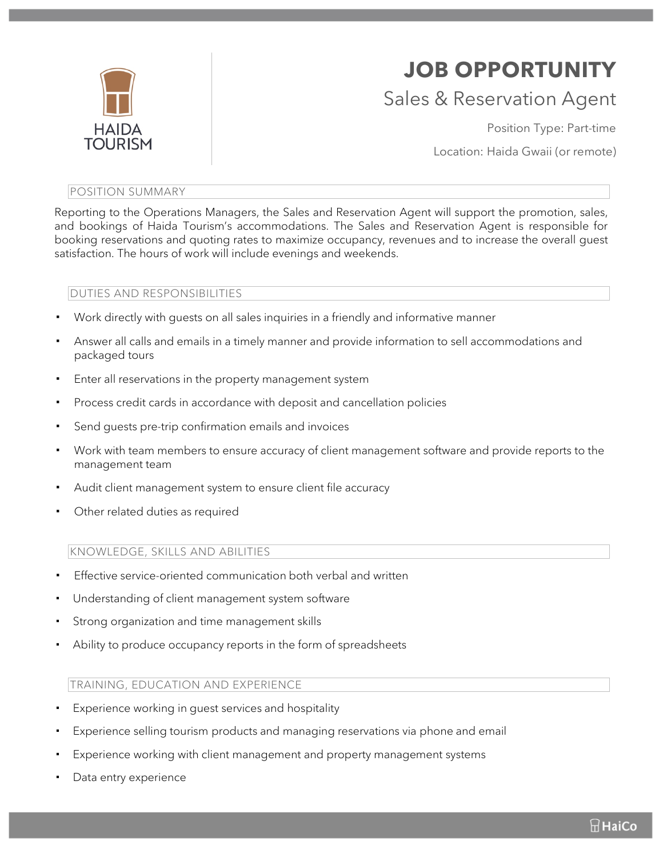

# **JOB OPPORTUNITY** Sales & Reservation Agent

Position Type: Part-time

Location: Haida Gwaii (or remote)

#### POSITION SUMMARY

Reporting to the Operations Managers, the Sales and Reservation Agent will support the promotion, sales, and bookings of Haida Tourism's accommodations. The Sales and Reservation Agent is responsible for booking reservations and quoting rates to maximize occupancy, revenues and to increase the overall guest satisfaction. The hours of work will include evenings and weekends.

# DUTIES AND RESPONSIBILITIES

- ! Work directly with guests on all sales inquiries in a friendly and informative manner
- ! Answer all calls and emails in a timely manner and provide information to sell accommodations and packaged tours
- Enter all reservations in the property management system
- ! Process credit cards in accordance with deposit and cancellation policies
- Send guests pre-trip confirmation emails and invoices
- Work with team members to ensure accuracy of client management software and provide reports to the management team
- Audit client management system to ensure client file accuracy
- Other related duties as required

## KNOWLEDGE, SKILLS AND ABILITIES

- Effective service-oriented communication both verbal and written
- Understanding of client management system software
- Strong organization and time management skills
- Ability to produce occupancy reports in the form of spreadsheets

## TRAINING, EDUCATION AND EXPERIENCE

- Experience working in quest services and hospitality
- ! Experience selling tourism products and managing reservations via phone and email
- Experience working with client management and property management systems
- Data entry experience